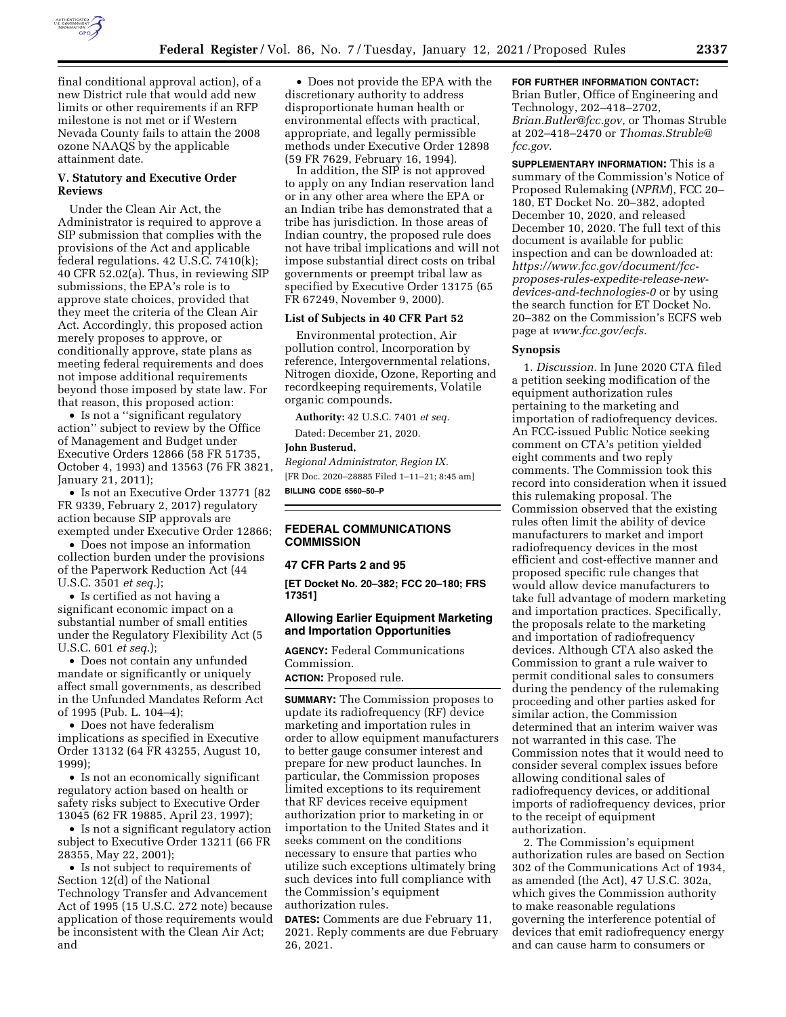

final conditional approval action), of a new District rule that would add new limits or other requirements if an RFP milestone is not met or if Western Nevada County fails to attain the 2008 ozone NAAQS by the applicable attainment date.

### **V. Statutory and Executive Order Reviews**

Under the Clean Air Act, the Administrator is required to approve a SIP submission that complies with the provisions of the Act and applicable federal regulations. 42 U.S.C. 7410(k); 40 CFR 52.02(a). Thus, in reviewing SIP submissions, the EPA's role is to approve state choices, provided that they meet the criteria of the Clean Air Act. Accordingly, this proposed action merely proposes to approve, or conditionally approve, state plans as meeting federal requirements and does not impose additional requirements beyond those imposed by state law. For that reason, this proposed action:

• Is not a "significant regulatory action'' subject to review by the Office of Management and Budget under Executive Orders 12866 (58 FR 51735, October 4, 1993) and 13563 (76 FR 3821, January 21, 2011);

• Is not an Executive Order 13771 (82 FR 9339, February 2, 2017) regulatory action because SIP approvals are exempted under Executive Order 12866;

• Does not impose an information collection burden under the provisions of the Paperwork Reduction Act (44 U.S.C. 3501 *et seq.*);

• Is certified as not having a significant economic impact on a substantial number of small entities under the Regulatory Flexibility Act (5 U.S.C. 601 *et seq.*);

• Does not contain any unfunded mandate or significantly or uniquely affect small governments, as described in the Unfunded Mandates Reform Act of 1995 (Pub. L. 104–4);

• Does not have federalism implications as specified in Executive Order 13132 (64 FR 43255, August 10, 1999);

• Is not an economically significant regulatory action based on health or safety risks subject to Executive Order 13045 (62 FR 19885, April 23, 1997);

• Is not a significant regulatory action subject to Executive Order 13211 (66 FR 28355, May 22, 2001);

• Is not subject to requirements of Section 12(d) of the National Technology Transfer and Advancement Act of 1995 (15 U.S.C. 272 note) because application of those requirements would be inconsistent with the Clean Air Act; and

• Does not provide the EPA with the discretionary authority to address disproportionate human health or environmental effects with practical, appropriate, and legally permissible methods under Executive Order 12898 (59 FR 7629, February 16, 1994).

In addition, the SIP is not approved to apply on any Indian reservation land or in any other area where the EPA or an Indian tribe has demonstrated that a tribe has jurisdiction. In those areas of Indian country, the proposed rule does not have tribal implications and will not impose substantial direct costs on tribal governments or preempt tribal law as specified by Executive Order 13175 (65 FR 67249, November 9, 2000).

### **List of Subjects in 40 CFR Part 52**

Environmental protection, Air pollution control, Incorporation by reference, Intergovernmental relations, Nitrogen dioxide, Ozone, Reporting and recordkeeping requirements, Volatile organic compounds.

**Authority:** 42 U.S.C. 7401 *et seq.* 

Dated: December 21, 2020.

#### **John Busterud,**

*Regional Administrator, Region IX.*  [FR Doc. 2020–28885 Filed 1–11–21; 8:45 am] **BILLING CODE 6560–50–P** 

# **FEDERAL COMMUNICATIONS COMMISSION**

#### **47 CFR Parts 2 and 95**

**[ET Docket No. 20–382; FCC 20–180; FRS 17351]** 

## **Allowing Earlier Equipment Marketing and Importation Opportunities**

**AGENCY:** Federal Communications Commission.

**ACTION:** Proposed rule.

**SUMMARY:** The Commission proposes to update its radiofrequency (RF) device marketing and importation rules in order to allow equipment manufacturers to better gauge consumer interest and prepare for new product launches. In particular, the Commission proposes limited exceptions to its requirement that RF devices receive equipment authorization prior to marketing in or importation to the United States and it seeks comment on the conditions necessary to ensure that parties who utilize such exceptions ultimately bring such devices into full compliance with the Commission's equipment authorization rules.

**DATES:** Comments are due February 11, 2021. Reply comments are due February 26, 2021.

### **FOR FURTHER INFORMATION CONTACT:**

Brian Butler, Office of Engineering and Technology, 202–418–2702, *[Brian.Butler@fcc.gov,](mailto:Brian.Butler@fcc.gov)* or Thomas Struble at 202–418–2470 or *[Thomas.Struble@](mailto:Thomas.Struble@fcc.gov) [fcc.gov.](mailto:Thomas.Struble@fcc.gov)* 

**SUPPLEMENTARY INFORMATION:** This is a summary of the Commission's Notice of Proposed Rulemaking (*NPRM*), FCC 20– 180, ET Docket No. 20–382, adopted December 10, 2020, and released December 10, 2020. The full text of this document is available for public inspection and can be downloaded at: *[https://www.fcc.gov/document/fcc](https://www.fcc.gov/document/fcc-proposes-rules-expedite-release-new-devices-and-technologies-0)[proposes-rules-expedite-release-new](https://www.fcc.gov/document/fcc-proposes-rules-expedite-release-new-devices-and-technologies-0)[devices-and-technologies-0](https://www.fcc.gov/document/fcc-proposes-rules-expedite-release-new-devices-and-technologies-0)* or by using the search function for ET Docket No. 20–382 on the Commission's ECFS web page at *[www.fcc.gov/ecfs.](http://www.fcc.gov/ecfs)* 

#### **Synopsis**

1. *Discussion.* In June 2020 CTA filed a petition seeking modification of the equipment authorization rules pertaining to the marketing and importation of radiofrequency devices. An FCC-issued Public Notice seeking comment on CTA's petition yielded eight comments and two reply comments. The Commission took this record into consideration when it issued this rulemaking proposal. The Commission observed that the existing rules often limit the ability of device manufacturers to market and import radiofrequency devices in the most efficient and cost-effective manner and proposed specific rule changes that would allow device manufacturers to take full advantage of modern marketing and importation practices. Specifically, the proposals relate to the marketing and importation of radiofrequency devices. Although CTA also asked the Commission to grant a rule waiver to permit conditional sales to consumers during the pendency of the rulemaking proceeding and other parties asked for similar action, the Commission determined that an interim waiver was not warranted in this case. The Commission notes that it would need to consider several complex issues before allowing conditional sales of radiofrequency devices, or additional imports of radiofrequency devices, prior to the receipt of equipment authorization.

2. The Commission's equipment authorization rules are based on Section 302 of the Communications Act of 1934, as amended (the Act), 47 U.S.C. 302a, which gives the Commission authority to make reasonable regulations governing the interference potential of devices that emit radiofrequency energy and can cause harm to consumers or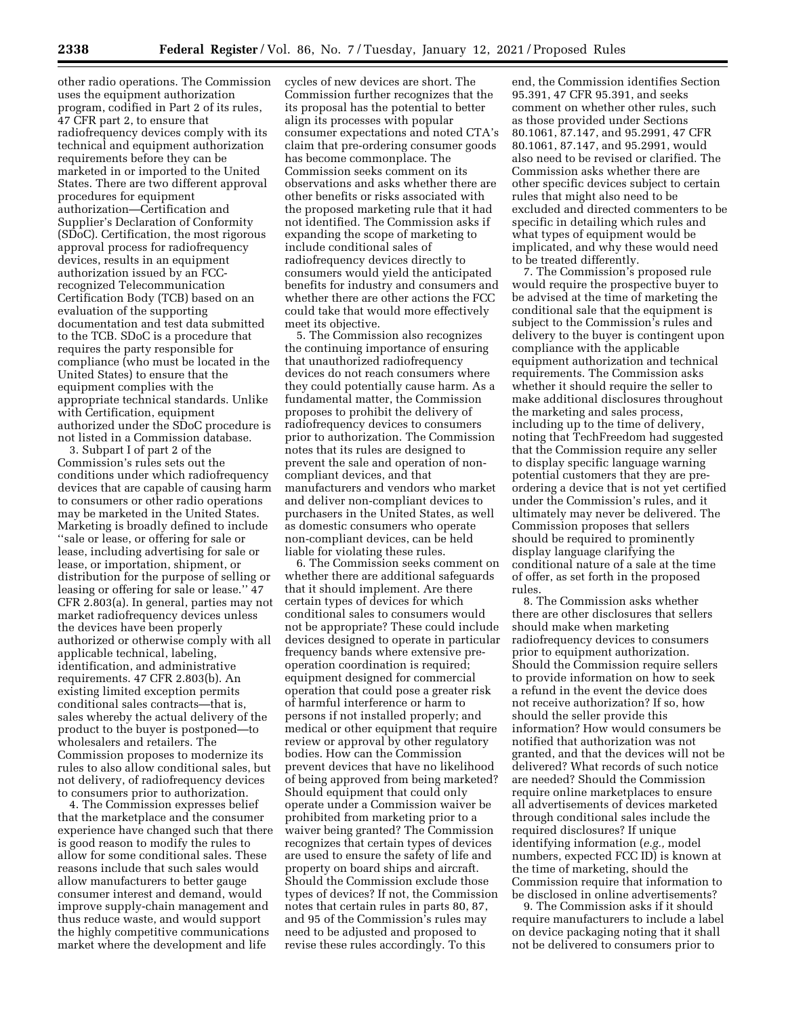other radio operations. The Commission uses the equipment authorization program, codified in Part 2 of its rules, 47 CFR part 2, to ensure that radiofrequency devices comply with its technical and equipment authorization requirements before they can be marketed in or imported to the United States. There are two different approval procedures for equipment authorization—Certification and Supplier's Declaration of Conformity (SDoC). Certification, the most rigorous approval process for radiofrequency devices, results in an equipment authorization issued by an FCCrecognized Telecommunication Certification Body (TCB) based on an evaluation of the supporting documentation and test data submitted to the TCB. SDoC is a procedure that requires the party responsible for compliance (who must be located in the United States) to ensure that the equipment complies with the appropriate technical standards. Unlike with Certification, equipment authorized under the SDoC procedure is not listed in a Commission database.

3. Subpart I of part 2 of the Commission's rules sets out the conditions under which radiofrequency devices that are capable of causing harm to consumers or other radio operations may be marketed in the United States. Marketing is broadly defined to include ''sale or lease, or offering for sale or lease, including advertising for sale or lease, or importation, shipment, or distribution for the purpose of selling or leasing or offering for sale or lease.'' 47 CFR 2.803(a). In general, parties may not market radiofrequency devices unless the devices have been properly authorized or otherwise comply with all applicable technical, labeling, identification, and administrative requirements. 47 CFR 2.803(b). An existing limited exception permits conditional sales contracts—that is, sales whereby the actual delivery of the product to the buyer is postponed—to wholesalers and retailers. The Commission proposes to modernize its rules to also allow conditional sales, but not delivery, of radiofrequency devices to consumers prior to authorization.

4. The Commission expresses belief that the marketplace and the consumer experience have changed such that there is good reason to modify the rules to allow for some conditional sales. These reasons include that such sales would allow manufacturers to better gauge consumer interest and demand, would improve supply-chain management and thus reduce waste, and would support the highly competitive communications market where the development and life

cycles of new devices are short. The Commission further recognizes that the its proposal has the potential to better align its processes with popular consumer expectations and noted CTA's claim that pre-ordering consumer goods has become commonplace. The Commission seeks comment on its observations and asks whether there are other benefits or risks associated with the proposed marketing rule that it had not identified. The Commission asks if expanding the scope of marketing to include conditional sales of radiofrequency devices directly to consumers would yield the anticipated benefits for industry and consumers and whether there are other actions the FCC could take that would more effectively meet its objective.

5. The Commission also recognizes the continuing importance of ensuring that unauthorized radiofrequency devices do not reach consumers where they could potentially cause harm. As a fundamental matter, the Commission proposes to prohibit the delivery of radiofrequency devices to consumers prior to authorization. The Commission notes that its rules are designed to prevent the sale and operation of noncompliant devices, and that manufacturers and vendors who market and deliver non-compliant devices to purchasers in the United States, as well as domestic consumers who operate non-compliant devices, can be held liable for violating these rules.

6. The Commission seeks comment on whether there are additional safeguards that it should implement. Are there certain types of devices for which conditional sales to consumers would not be appropriate? These could include devices designed to operate in particular frequency bands where extensive preoperation coordination is required; equipment designed for commercial operation that could pose a greater risk of harmful interference or harm to persons if not installed properly; and medical or other equipment that require review or approval by other regulatory bodies. How can the Commission prevent devices that have no likelihood of being approved from being marketed? Should equipment that could only operate under a Commission waiver be prohibited from marketing prior to a waiver being granted? The Commission recognizes that certain types of devices are used to ensure the safety of life and property on board ships and aircraft. Should the Commission exclude those types of devices? If not, the Commission notes that certain rules in parts 80, 87, and 95 of the Commission's rules may need to be adjusted and proposed to revise these rules accordingly. To this

end, the Commission identifies Section 95.391, 47 CFR 95.391, and seeks comment on whether other rules, such as those provided under Sections 80.1061, 87.147, and 95.2991, 47 CFR 80.1061, 87.147, and 95.2991, would also need to be revised or clarified. The Commission asks whether there are other specific devices subject to certain rules that might also need to be excluded and directed commenters to be specific in detailing which rules and what types of equipment would be implicated, and why these would need to be treated differently.

7. The Commission's proposed rule would require the prospective buyer to be advised at the time of marketing the conditional sale that the equipment is subject to the Commission's rules and delivery to the buyer is contingent upon compliance with the applicable equipment authorization and technical requirements. The Commission asks whether it should require the seller to make additional disclosures throughout the marketing and sales process, including up to the time of delivery, noting that TechFreedom had suggested that the Commission require any seller to display specific language warning potential customers that they are preordering a device that is not yet certified under the Commission's rules, and it ultimately may never be delivered. The Commission proposes that sellers should be required to prominently display language clarifying the conditional nature of a sale at the time of offer, as set forth in the proposed rules.

8. The Commission asks whether there are other disclosures that sellers should make when marketing radiofrequency devices to consumers prior to equipment authorization. Should the Commission require sellers to provide information on how to seek a refund in the event the device does not receive authorization? If so, how should the seller provide this information? How would consumers be notified that authorization was not granted, and that the devices will not be delivered? What records of such notice are needed? Should the Commission require online marketplaces to ensure all advertisements of devices marketed through conditional sales include the required disclosures? If unique identifying information (*e.g.,* model numbers, expected FCC ID) is known at the time of marketing, should the Commission require that information to be disclosed in online advertisements?

9. The Commission asks if it should require manufacturers to include a label on device packaging noting that it shall not be delivered to consumers prior to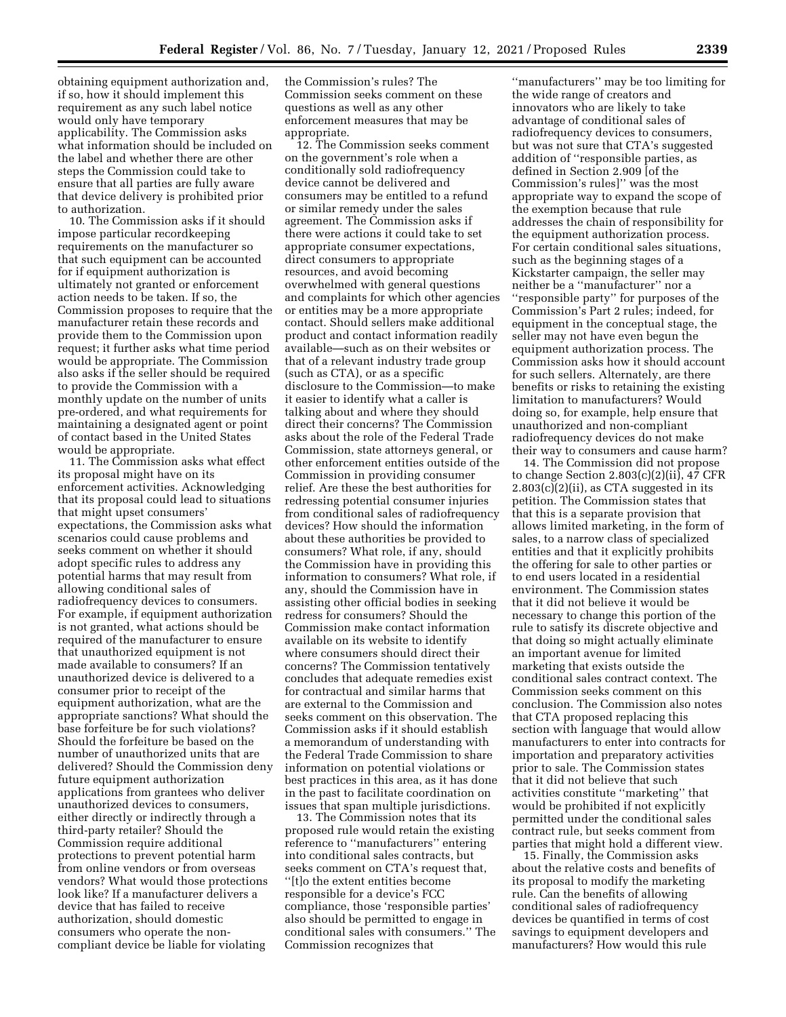obtaining equipment authorization and, if so, how it should implement this requirement as any such label notice would only have temporary applicability. The Commission asks what information should be included on the label and whether there are other steps the Commission could take to ensure that all parties are fully aware that device delivery is prohibited prior to authorization.

10. The Commission asks if it should impose particular recordkeeping requirements on the manufacturer so that such equipment can be accounted for if equipment authorization is ultimately not granted or enforcement action needs to be taken. If so, the Commission proposes to require that the manufacturer retain these records and provide them to the Commission upon request; it further asks what time period would be appropriate. The Commission also asks if the seller should be required to provide the Commission with a monthly update on the number of units pre-ordered, and what requirements for maintaining a designated agent or point of contact based in the United States would be appropriate.

11. The Commission asks what effect its proposal might have on its enforcement activities. Acknowledging that its proposal could lead to situations that might upset consumers' expectations, the Commission asks what scenarios could cause problems and seeks comment on whether it should adopt specific rules to address any potential harms that may result from allowing conditional sales of radiofrequency devices to consumers. For example, if equipment authorization is not granted, what actions should be required of the manufacturer to ensure that unauthorized equipment is not made available to consumers? If an unauthorized device is delivered to a consumer prior to receipt of the equipment authorization, what are the appropriate sanctions? What should the base forfeiture be for such violations? Should the forfeiture be based on the number of unauthorized units that are delivered? Should the Commission deny future equipment authorization applications from grantees who deliver unauthorized devices to consumers, either directly or indirectly through a third-party retailer? Should the Commission require additional protections to prevent potential harm from online vendors or from overseas vendors? What would those protections look like? If a manufacturer delivers a device that has failed to receive authorization, should domestic consumers who operate the noncompliant device be liable for violating

the Commission's rules? The Commission seeks comment on these questions as well as any other enforcement measures that may be appropriate.

12. The Commission seeks comment on the government's role when a conditionally sold radiofrequency device cannot be delivered and consumers may be entitled to a refund or similar remedy under the sales agreement. The Commission asks if there were actions it could take to set appropriate consumer expectations, direct consumers to appropriate resources, and avoid becoming overwhelmed with general questions and complaints for which other agencies or entities may be a more appropriate contact. Should sellers make additional product and contact information readily available—such as on their websites or that of a relevant industry trade group (such as CTA), or as a specific disclosure to the Commission—to make it easier to identify what a caller is talking about and where they should direct their concerns? The Commission asks about the role of the Federal Trade Commission, state attorneys general, or other enforcement entities outside of the Commission in providing consumer relief. Are these the best authorities for redressing potential consumer injuries from conditional sales of radiofrequency devices? How should the information about these authorities be provided to consumers? What role, if any, should the Commission have in providing this information to consumers? What role, if any, should the Commission have in assisting other official bodies in seeking redress for consumers? Should the Commission make contact information available on its website to identify where consumers should direct their concerns? The Commission tentatively concludes that adequate remedies exist for contractual and similar harms that are external to the Commission and seeks comment on this observation. The Commission asks if it should establish a memorandum of understanding with the Federal Trade Commission to share information on potential violations or best practices in this area, as it has done in the past to facilitate coordination on issues that span multiple jurisdictions.

13. The Commission notes that its proposed rule would retain the existing reference to ''manufacturers'' entering into conditional sales contracts, but seeks comment on CTA's request that, ''[t]o the extent entities become responsible for a device's FCC compliance, those 'responsible parties' also should be permitted to engage in conditional sales with consumers.'' The Commission recognizes that

''manufacturers'' may be too limiting for the wide range of creators and innovators who are likely to take advantage of conditional sales of radiofrequency devices to consumers, but was not sure that CTA's suggested addition of ''responsible parties, as defined in Section 2.909 [of the Commission's rules]'' was the most appropriate way to expand the scope of the exemption because that rule addresses the chain of responsibility for the equipment authorization process. For certain conditional sales situations, such as the beginning stages of a Kickstarter campaign, the seller may neither be a ''manufacturer'' nor a ''responsible party'' for purposes of the Commission's Part 2 rules; indeed, for equipment in the conceptual stage, the seller may not have even begun the equipment authorization process. The Commission asks how it should account for such sellers. Alternately, are there benefits or risks to retaining the existing limitation to manufacturers? Would doing so, for example, help ensure that unauthorized and non-compliant radiofrequency devices do not make their way to consumers and cause harm?

14. The Commission did not propose to change Section 2.803(c)(2)(ii), 47 CFR  $2.803(c)(2)(ii)$ , as CTA suggested in its petition. The Commission states that that this is a separate provision that allows limited marketing, in the form of sales, to a narrow class of specialized entities and that it explicitly prohibits the offering for sale to other parties or to end users located in a residential environment. The Commission states that it did not believe it would be necessary to change this portion of the rule to satisfy its discrete objective and that doing so might actually eliminate an important avenue for limited marketing that exists outside the conditional sales contract context. The Commission seeks comment on this conclusion. The Commission also notes that CTA proposed replacing this section with language that would allow manufacturers to enter into contracts for importation and preparatory activities prior to sale. The Commission states that it did not believe that such activities constitute ''marketing'' that would be prohibited if not explicitly permitted under the conditional sales contract rule, but seeks comment from parties that might hold a different view.

15. Finally, the Commission asks about the relative costs and benefits of its proposal to modify the marketing rule. Can the benefits of allowing conditional sales of radiofrequency devices be quantified in terms of cost savings to equipment developers and manufacturers? How would this rule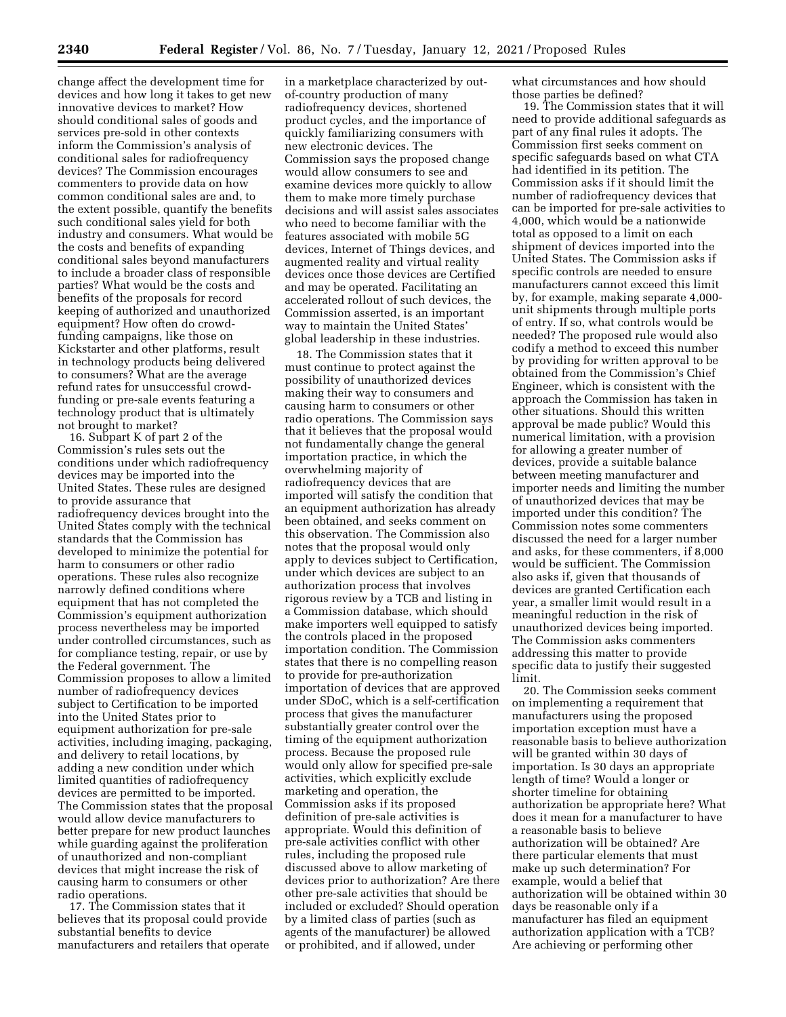change affect the development time for devices and how long it takes to get new innovative devices to market? How should conditional sales of goods and services pre-sold in other contexts inform the Commission's analysis of conditional sales for radiofrequency devices? The Commission encourages commenters to provide data on how common conditional sales are and, to the extent possible, quantify the benefits such conditional sales yield for both industry and consumers. What would be the costs and benefits of expanding conditional sales beyond manufacturers to include a broader class of responsible parties? What would be the costs and benefits of the proposals for record keeping of authorized and unauthorized equipment? How often do crowdfunding campaigns, like those on Kickstarter and other platforms, result in technology products being delivered to consumers? What are the average refund rates for unsuccessful crowdfunding or pre-sale events featuring a technology product that is ultimately not brought to market?

16. Subpart K of part 2 of the Commission's rules sets out the conditions under which radiofrequency devices may be imported into the United States. These rules are designed to provide assurance that radiofrequency devices brought into the United States comply with the technical standards that the Commission has developed to minimize the potential for harm to consumers or other radio operations. These rules also recognize narrowly defined conditions where equipment that has not completed the Commission's equipment authorization process nevertheless may be imported under controlled circumstances, such as for compliance testing, repair, or use by the Federal government. The Commission proposes to allow a limited number of radiofrequency devices subject to Certification to be imported into the United States prior to equipment authorization for pre-sale activities, including imaging, packaging, and delivery to retail locations, by adding a new condition under which limited quantities of radiofrequency devices are permitted to be imported. The Commission states that the proposal would allow device manufacturers to better prepare for new product launches while guarding against the proliferation of unauthorized and non-compliant devices that might increase the risk of causing harm to consumers or other radio operations.

17. The Commission states that it believes that its proposal could provide substantial benefits to device manufacturers and retailers that operate

in a marketplace characterized by outof-country production of many radiofrequency devices, shortened product cycles, and the importance of quickly familiarizing consumers with new electronic devices. The Commission says the proposed change would allow consumers to see and examine devices more quickly to allow them to make more timely purchase decisions and will assist sales associates who need to become familiar with the features associated with mobile 5G devices, Internet of Things devices, and augmented reality and virtual reality devices once those devices are Certified and may be operated. Facilitating an accelerated rollout of such devices, the Commission asserted, is an important way to maintain the United States' global leadership in these industries.

18. The Commission states that it must continue to protect against the possibility of unauthorized devices making their way to consumers and causing harm to consumers or other radio operations. The Commission says that it believes that the proposal would not fundamentally change the general importation practice, in which the overwhelming majority of radiofrequency devices that are imported will satisfy the condition that an equipment authorization has already been obtained, and seeks comment on this observation. The Commission also notes that the proposal would only apply to devices subject to Certification, under which devices are subject to an authorization process that involves rigorous review by a TCB and listing in a Commission database, which should make importers well equipped to satisfy the controls placed in the proposed importation condition. The Commission states that there is no compelling reason to provide for pre-authorization importation of devices that are approved under SDoC, which is a self-certification process that gives the manufacturer substantially greater control over the timing of the equipment authorization process. Because the proposed rule would only allow for specified pre-sale activities, which explicitly exclude marketing and operation, the Commission asks if its proposed definition of pre-sale activities is appropriate. Would this definition of pre-sale activities conflict with other rules, including the proposed rule discussed above to allow marketing of devices prior to authorization? Are there other pre-sale activities that should be included or excluded? Should operation by a limited class of parties (such as agents of the manufacturer) be allowed or prohibited, and if allowed, under

what circumstances and how should those parties be defined?

19. The Commission states that it will need to provide additional safeguards as part of any final rules it adopts. The Commission first seeks comment on specific safeguards based on what CTA had identified in its petition. The Commission asks if it should limit the number of radiofrequency devices that can be imported for pre-sale activities to 4,000, which would be a nationwide total as opposed to a limit on each shipment of devices imported into the United States. The Commission asks if specific controls are needed to ensure manufacturers cannot exceed this limit by, for example, making separate 4,000 unit shipments through multiple ports of entry. If so, what controls would be needed? The proposed rule would also codify a method to exceed this number by providing for written approval to be obtained from the Commission's Chief Engineer, which is consistent with the approach the Commission has taken in other situations. Should this written approval be made public? Would this numerical limitation, with a provision for allowing a greater number of devices, provide a suitable balance between meeting manufacturer and importer needs and limiting the number of unauthorized devices that may be imported under this condition? The Commission notes some commenters discussed the need for a larger number and asks, for these commenters, if 8,000 would be sufficient. The Commission also asks if, given that thousands of devices are granted Certification each year, a smaller limit would result in a meaningful reduction in the risk of unauthorized devices being imported. The Commission asks commenters addressing this matter to provide specific data to justify their suggested limit.

20. The Commission seeks comment on implementing a requirement that manufacturers using the proposed importation exception must have a reasonable basis to believe authorization will be granted within 30 days of importation. Is 30 days an appropriate length of time? Would a longer or shorter timeline for obtaining authorization be appropriate here? What does it mean for a manufacturer to have a reasonable basis to believe authorization will be obtained? Are there particular elements that must make up such determination? For example, would a belief that authorization will be obtained within 30 days be reasonable only if a manufacturer has filed an equipment authorization application with a TCB? Are achieving or performing other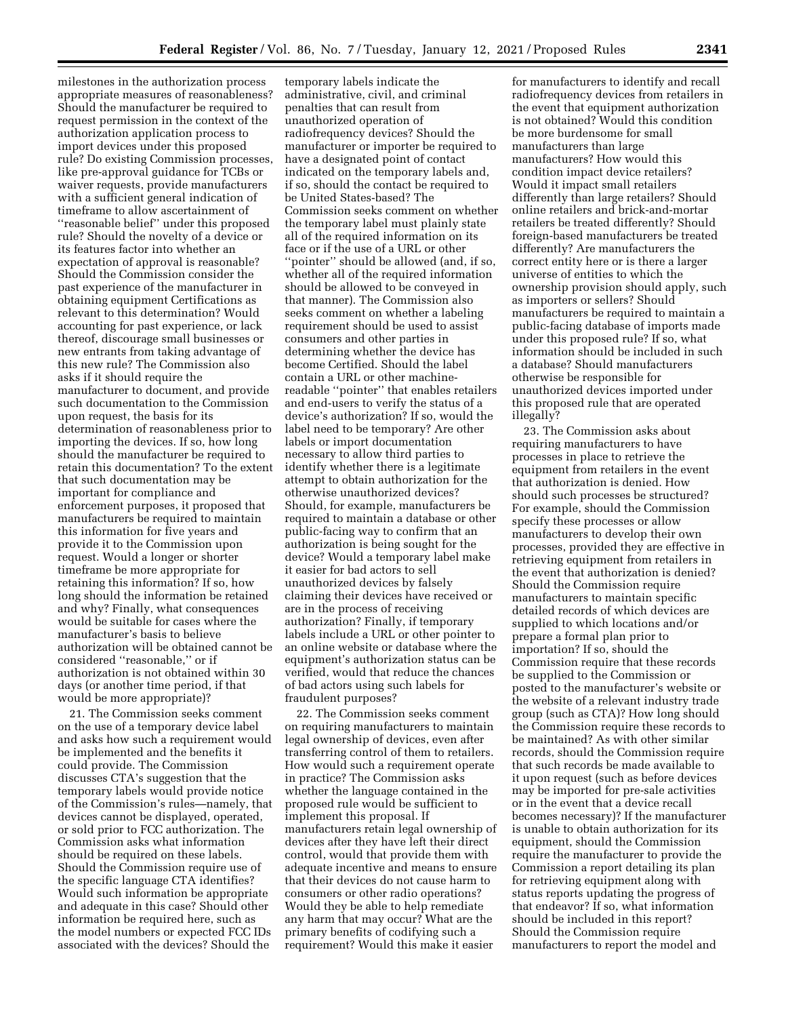milestones in the authorization process appropriate measures of reasonableness? Should the manufacturer be required to request permission in the context of the authorization application process to import devices under this proposed rule? Do existing Commission processes, like pre-approval guidance for TCBs or waiver requests, provide manufacturers with a sufficient general indication of timeframe to allow ascertainment of ''reasonable belief'' under this proposed rule? Should the novelty of a device or its features factor into whether an expectation of approval is reasonable? Should the Commission consider the past experience of the manufacturer in obtaining equipment Certifications as relevant to this determination? Would accounting for past experience, or lack thereof, discourage small businesses or new entrants from taking advantage of this new rule? The Commission also asks if it should require the manufacturer to document, and provide such documentation to the Commission upon request, the basis for its determination of reasonableness prior to importing the devices. If so, how long should the manufacturer be required to retain this documentation? To the extent that such documentation may be important for compliance and enforcement purposes, it proposed that manufacturers be required to maintain this information for five years and provide it to the Commission upon request. Would a longer or shorter timeframe be more appropriate for retaining this information? If so, how long should the information be retained and why? Finally, what consequences would be suitable for cases where the manufacturer's basis to believe authorization will be obtained cannot be considered ''reasonable,'' or if authorization is not obtained within 30 days (or another time period, if that would be more appropriate)?

21. The Commission seeks comment on the use of a temporary device label and asks how such a requirement would be implemented and the benefits it could provide. The Commission discusses CTA's suggestion that the temporary labels would provide notice of the Commission's rules—namely, that devices cannot be displayed, operated, or sold prior to FCC authorization. The Commission asks what information should be required on these labels. Should the Commission require use of the specific language CTA identifies? Would such information be appropriate and adequate in this case? Should other information be required here, such as the model numbers or expected FCC IDs associated with the devices? Should the

temporary labels indicate the administrative, civil, and criminal penalties that can result from unauthorized operation of radiofrequency devices? Should the manufacturer or importer be required to have a designated point of contact indicated on the temporary labels and, if so, should the contact be required to be United States-based? The Commission seeks comment on whether the temporary label must plainly state all of the required information on its face or if the use of a URL or other ''pointer'' should be allowed (and, if so, whether all of the required information should be allowed to be conveyed in that manner). The Commission also seeks comment on whether a labeling requirement should be used to assist consumers and other parties in determining whether the device has become Certified. Should the label contain a URL or other machinereadable ''pointer'' that enables retailers and end-users to verify the status of a device's authorization? If so, would the label need to be temporary? Are other labels or import documentation necessary to allow third parties to identify whether there is a legitimate attempt to obtain authorization for the otherwise unauthorized devices? Should, for example, manufacturers be required to maintain a database or other public-facing way to confirm that an authorization is being sought for the device? Would a temporary label make it easier for bad actors to sell unauthorized devices by falsely claiming their devices have received or are in the process of receiving authorization? Finally, if temporary labels include a URL or other pointer to an online website or database where the equipment's authorization status can be verified, would that reduce the chances of bad actors using such labels for fraudulent purposes?

22. The Commission seeks comment on requiring manufacturers to maintain legal ownership of devices, even after transferring control of them to retailers. How would such a requirement operate in practice? The Commission asks whether the language contained in the proposed rule would be sufficient to implement this proposal. If manufacturers retain legal ownership of devices after they have left their direct control, would that provide them with adequate incentive and means to ensure that their devices do not cause harm to consumers or other radio operations? Would they be able to help remediate any harm that may occur? What are the primary benefits of codifying such a requirement? Would this make it easier

for manufacturers to identify and recall radiofrequency devices from retailers in the event that equipment authorization is not obtained? Would this condition be more burdensome for small manufacturers than large manufacturers? How would this condition impact device retailers? Would it impact small retailers differently than large retailers? Should online retailers and brick-and-mortar retailers be treated differently? Should foreign-based manufacturers be treated differently? Are manufacturers the correct entity here or is there a larger universe of entities to which the ownership provision should apply, such as importers or sellers? Should manufacturers be required to maintain a public-facing database of imports made under this proposed rule? If so, what information should be included in such a database? Should manufacturers otherwise be responsible for unauthorized devices imported under this proposed rule that are operated illegally?

23. The Commission asks about requiring manufacturers to have processes in place to retrieve the equipment from retailers in the event that authorization is denied. How should such processes be structured? For example, should the Commission specify these processes or allow manufacturers to develop their own processes, provided they are effective in retrieving equipment from retailers in the event that authorization is denied? Should the Commission require manufacturers to maintain specific detailed records of which devices are supplied to which locations and/or prepare a formal plan prior to importation? If so, should the Commission require that these records be supplied to the Commission or posted to the manufacturer's website or the website of a relevant industry trade group (such as CTA)? How long should the Commission require these records to be maintained? As with other similar records, should the Commission require that such records be made available to it upon request (such as before devices may be imported for pre-sale activities or in the event that a device recall becomes necessary)? If the manufacturer is unable to obtain authorization for its equipment, should the Commission require the manufacturer to provide the Commission a report detailing its plan for retrieving equipment along with status reports updating the progress of that endeavor? If so, what information should be included in this report? Should the Commission require manufacturers to report the model and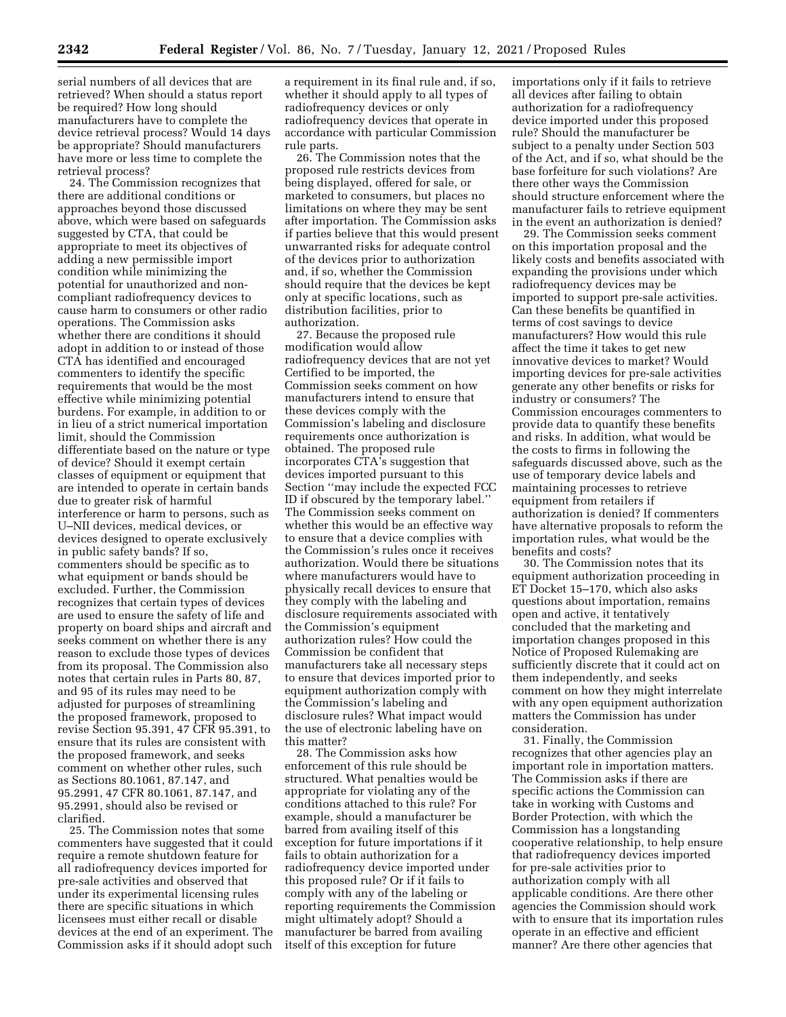serial numbers of all devices that are retrieved? When should a status report be required? How long should manufacturers have to complete the device retrieval process? Would 14 days be appropriate? Should manufacturers have more or less time to complete the retrieval process?

24. The Commission recognizes that there are additional conditions or approaches beyond those discussed above, which were based on safeguards suggested by CTA, that could be appropriate to meet its objectives of adding a new permissible import condition while minimizing the potential for unauthorized and noncompliant radiofrequency devices to cause harm to consumers or other radio operations. The Commission asks whether there are conditions it should adopt in addition to or instead of those CTA has identified and encouraged commenters to identify the specific requirements that would be the most effective while minimizing potential burdens. For example, in addition to or in lieu of a strict numerical importation limit, should the Commission differentiate based on the nature or type of device? Should it exempt certain classes of equipment or equipment that are intended to operate in certain bands due to greater risk of harmful interference or harm to persons, such as U–NII devices, medical devices, or devices designed to operate exclusively in public safety bands? If so, commenters should be specific as to what equipment or bands should be excluded. Further, the Commission recognizes that certain types of devices are used to ensure the safety of life and property on board ships and aircraft and seeks comment on whether there is any reason to exclude those types of devices from its proposal. The Commission also notes that certain rules in Parts 80, 87, and 95 of its rules may need to be adjusted for purposes of streamlining the proposed framework, proposed to revise Section 95.391, 47 CFR 95.391, to ensure that its rules are consistent with the proposed framework, and seeks comment on whether other rules, such as Sections 80.1061, 87.147, and 95.2991, 47 CFR 80.1061, 87.147, and 95.2991, should also be revised or clarified.

25. The Commission notes that some commenters have suggested that it could require a remote shutdown feature for all radiofrequency devices imported for pre-sale activities and observed that under its experimental licensing rules there are specific situations in which licensees must either recall or disable devices at the end of an experiment. The Commission asks if it should adopt such

a requirement in its final rule and, if so, whether it should apply to all types of radiofrequency devices or only radiofrequency devices that operate in accordance with particular Commission rule parts.

26. The Commission notes that the proposed rule restricts devices from being displayed, offered for sale, or marketed to consumers, but places no limitations on where they may be sent after importation. The Commission asks if parties believe that this would present unwarranted risks for adequate control of the devices prior to authorization and, if so, whether the Commission should require that the devices be kept only at specific locations, such as distribution facilities, prior to authorization.

27. Because the proposed rule modification would allow radiofrequency devices that are not yet Certified to be imported, the Commission seeks comment on how manufacturers intend to ensure that these devices comply with the Commission's labeling and disclosure requirements once authorization is obtained. The proposed rule incorporates CTA's suggestion that devices imported pursuant to this Section ''may include the expected FCC ID if obscured by the temporary label.'' The Commission seeks comment on whether this would be an effective way to ensure that a device complies with the Commission's rules once it receives authorization. Would there be situations where manufacturers would have to physically recall devices to ensure that they comply with the labeling and disclosure requirements associated with the Commission's equipment authorization rules? How could the Commission be confident that manufacturers take all necessary steps to ensure that devices imported prior to equipment authorization comply with the Commission's labeling and disclosure rules? What impact would the use of electronic labeling have on this matter?

28. The Commission asks how enforcement of this rule should be structured. What penalties would be appropriate for violating any of the conditions attached to this rule? For example, should a manufacturer be barred from availing itself of this exception for future importations if it fails to obtain authorization for a radiofrequency device imported under this proposed rule? Or if it fails to comply with any of the labeling or reporting requirements the Commission might ultimately adopt? Should a manufacturer be barred from availing itself of this exception for future

importations only if it fails to retrieve all devices after failing to obtain authorization for a radiofrequency device imported under this proposed rule? Should the manufacturer be subject to a penalty under Section 503 of the Act, and if so, what should be the base forfeiture for such violations? Are there other ways the Commission should structure enforcement where the manufacturer fails to retrieve equipment in the event an authorization is denied?

29. The Commission seeks comment on this importation proposal and the likely costs and benefits associated with expanding the provisions under which radiofrequency devices may be imported to support pre-sale activities. Can these benefits be quantified in terms of cost savings to device manufacturers? How would this rule affect the time it takes to get new innovative devices to market? Would importing devices for pre-sale activities generate any other benefits or risks for industry or consumers? The Commission encourages commenters to provide data to quantify these benefits and risks. In addition, what would be the costs to firms in following the safeguards discussed above, such as the use of temporary device labels and maintaining processes to retrieve equipment from retailers if authorization is denied? If commenters have alternative proposals to reform the importation rules, what would be the benefits and costs?

30. The Commission notes that its equipment authorization proceeding in ET Docket 15–170, which also asks questions about importation, remains open and active, it tentatively concluded that the marketing and importation changes proposed in this Notice of Proposed Rulemaking are sufficiently discrete that it could act on them independently, and seeks comment on how they might interrelate with any open equipment authorization matters the Commission has under consideration.

31. Finally, the Commission recognizes that other agencies play an important role in importation matters. The Commission asks if there are specific actions the Commission can take in working with Customs and Border Protection, with which the Commission has a longstanding cooperative relationship, to help ensure that radiofrequency devices imported for pre-sale activities prior to authorization comply with all applicable conditions. Are there other agencies the Commission should work with to ensure that its importation rules operate in an effective and efficient manner? Are there other agencies that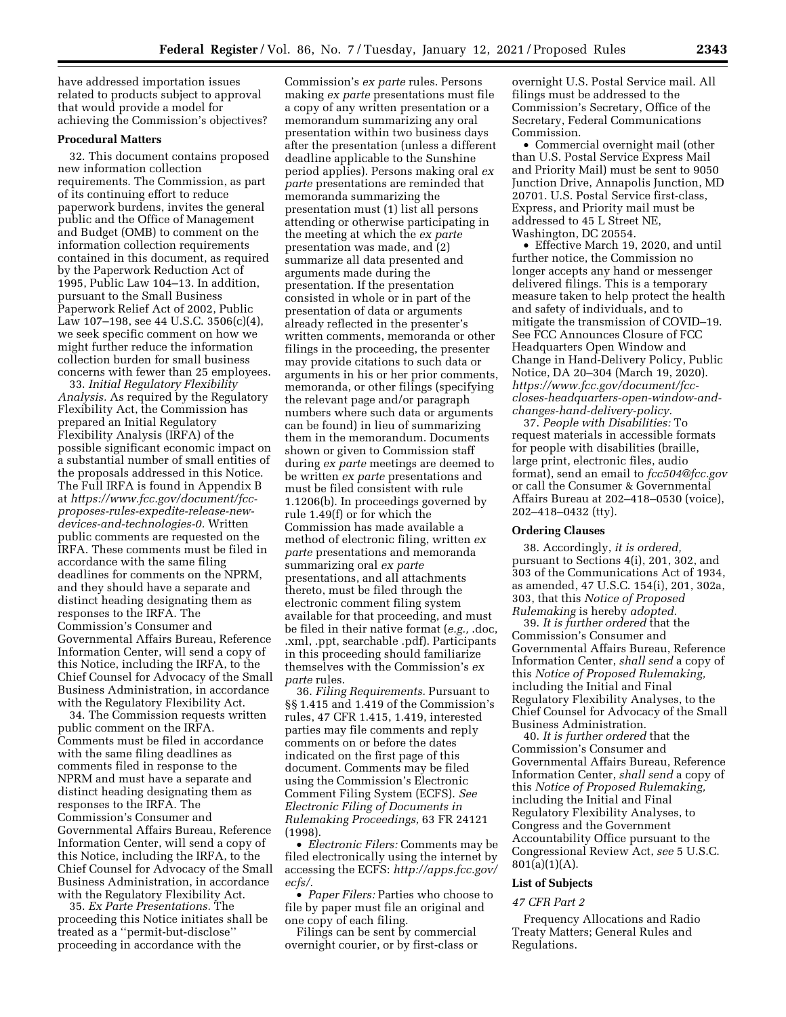have addressed importation issues related to products subject to approval that would provide a model for achieving the Commission's objectives?

#### **Procedural Matters**

32. This document contains proposed new information collection requirements. The Commission, as part of its continuing effort to reduce paperwork burdens, invites the general public and the Office of Management and Budget (OMB) to comment on the information collection requirements contained in this document, as required by the Paperwork Reduction Act of 1995, Public Law 104–13. In addition, pursuant to the Small Business Paperwork Relief Act of 2002, Public Law 107–198, see 44 U.S.C. 3506(c)(4), we seek specific comment on how we might further reduce the information collection burden for small business concerns with fewer than 25 employees.

33. *Initial Regulatory Flexibility Analysis.* As required by the Regulatory Flexibility Act, the Commission has prepared an Initial Regulatory Flexibility Analysis (IRFA) of the possible significant economic impact on a substantial number of small entities of the proposals addressed in this Notice. The Full IRFA is found in Appendix B at *[https://www.fcc.gov/document/fcc](https://www.fcc.gov/document/fcc-proposes-rules-expedite-release-new-devices-and-technologies-0)[proposes-rules-expedite-release-new](https://www.fcc.gov/document/fcc-proposes-rules-expedite-release-new-devices-and-technologies-0)[devices-and-technologies-0.](https://www.fcc.gov/document/fcc-proposes-rules-expedite-release-new-devices-and-technologies-0)* Written public comments are requested on the IRFA. These comments must be filed in accordance with the same filing deadlines for comments on the NPRM, and they should have a separate and distinct heading designating them as responses to the IRFA. The Commission's Consumer and Governmental Affairs Bureau, Reference Information Center, will send a copy of this Notice, including the IRFA, to the Chief Counsel for Advocacy of the Small Business Administration, in accordance with the Regulatory Flexibility Act.

34. The Commission requests written public comment on the IRFA. Comments must be filed in accordance with the same filing deadlines as comments filed in response to the NPRM and must have a separate and distinct heading designating them as responses to the IRFA. The Commission's Consumer and Governmental Affairs Bureau, Reference Information Center, will send a copy of this Notice, including the IRFA, to the Chief Counsel for Advocacy of the Small Business Administration, in accordance with the Regulatory Flexibility Act.

35. *Ex Parte Presentations.* The proceeding this Notice initiates shall be treated as a ''permit-but-disclose'' proceeding in accordance with the

Commission's *ex parte* rules. Persons making *ex parte* presentations must file a copy of any written presentation or a memorandum summarizing any oral presentation within two business days after the presentation (unless a different deadline applicable to the Sunshine period applies). Persons making oral *ex parte* presentations are reminded that memoranda summarizing the presentation must (1) list all persons attending or otherwise participating in the meeting at which the *ex parte*  presentation was made, and (2) summarize all data presented and arguments made during the presentation. If the presentation consisted in whole or in part of the presentation of data or arguments already reflected in the presenter's written comments, memoranda or other filings in the proceeding, the presenter may provide citations to such data or arguments in his or her prior comments, memoranda, or other filings (specifying the relevant page and/or paragraph numbers where such data or arguments can be found) in lieu of summarizing them in the memorandum. Documents shown or given to Commission staff during *ex parte* meetings are deemed to be written *ex parte* presentations and must be filed consistent with rule 1.1206(b). In proceedings governed by rule 1.49(f) or for which the Commission has made available a method of electronic filing, written *ex parte* presentations and memoranda summarizing oral *ex parte*  presentations, and all attachments thereto, must be filed through the electronic comment filing system available for that proceeding, and must be filed in their native format (*e.g.,* .doc, .xml, .ppt, searchable .pdf). Participants in this proceeding should familiarize themselves with the Commission's *ex parte* rules.

36. *Filing Requirements.* Pursuant to §§ 1.415 and 1.419 of the Commission's rules, 47 CFR 1.415, 1.419, interested parties may file comments and reply comments on or before the dates indicated on the first page of this document. Comments may be filed using the Commission's Electronic Comment Filing System (ECFS). *See Electronic Filing of Documents in Rulemaking Proceedings,* 63 FR 24121 (1998).

• *Electronic Filers:* Comments may be filed electronically using the internet by accessing the ECFS: *[http://apps.fcc.gov/](http://apps.fcc.gov/ecfs/)  [ecfs/.](http://apps.fcc.gov/ecfs/)* 

• *Paper Filers:* Parties who choose to file by paper must file an original and one copy of each filing.

Filings can be sent by commercial overnight courier, or by first-class or overnight U.S. Postal Service mail. All filings must be addressed to the Commission's Secretary, Office of the Secretary, Federal Communications Commission.

• Commercial overnight mail (other than U.S. Postal Service Express Mail and Priority Mail) must be sent to 9050 Junction Drive, Annapolis Junction, MD 20701. U.S. Postal Service first-class, Express, and Priority mail must be addressed to 45 L Street NE, Washington, DC 20554.

• Effective March 19, 2020, and until further notice, the Commission no longer accepts any hand or messenger delivered filings. This is a temporary measure taken to help protect the health and safety of individuals, and to mitigate the transmission of COVID–19. See FCC Announces Closure of FCC Headquarters Open Window and Change in Hand-Delivery Policy, Public Notice, DA 20–304 (March 19, 2020). *[https://www.fcc.gov/document/fcc](https://www.fcc.gov/document/fcc-closes-headquarters-open-window-and-changes-hand-delivery-policy)[closes-headquarters-open-window-and](https://www.fcc.gov/document/fcc-closes-headquarters-open-window-and-changes-hand-delivery-policy)[changes-hand-delivery-policy.](https://www.fcc.gov/document/fcc-closes-headquarters-open-window-and-changes-hand-delivery-policy)* 

37. *People with Disabilities:* To request materials in accessible formats for people with disabilities (braille, large print, electronic files, audio format), send an email to *[fcc504@fcc.gov](mailto:fcc504@fcc.gov)*  or call the Consumer & Governmental Affairs Bureau at 202–418–0530 (voice), 202–418–0432 (tty).

#### **Ordering Clauses**

38. Accordingly, *it is ordered,*  pursuant to Sections 4(i), 201, 302, and 303 of the Communications Act of 1934, as amended, 47 U.S.C. 154(i), 201, 302a, 303, that this *Notice of Proposed Rulemaking* is hereby *adopted.* 

39. *It is further ordered* that the Commission's Consumer and Governmental Affairs Bureau, Reference Information Center, *shall send* a copy of this *Notice of Proposed Rulemaking,*  including the Initial and Final Regulatory Flexibility Analyses, to the Chief Counsel for Advocacy of the Small Business Administration.

40. *It is further ordered* that the Commission's Consumer and Governmental Affairs Bureau, Reference Information Center, *shall send* a copy of this *Notice of Proposed Rulemaking,*  including the Initial and Final Regulatory Flexibility Analyses, to Congress and the Government Accountability Office pursuant to the Congressional Review Act, *see* 5 U.S.C.  $801(a)(1)(A)$ .

#### **List of Subjects**

#### *47 CFR Part 2*

Frequency Allocations and Radio Treaty Matters; General Rules and Regulations.